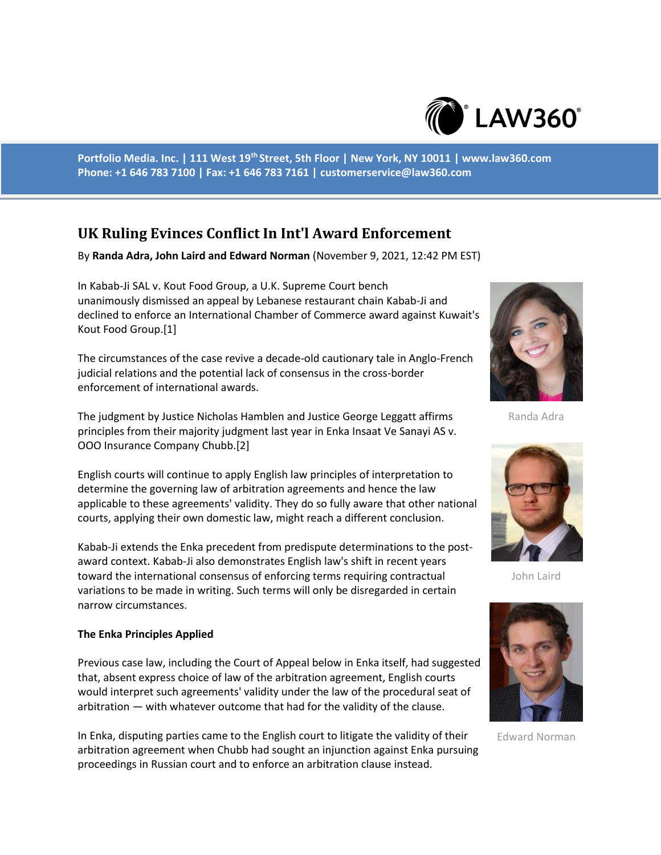

**Portfolio Media. Inc. | 111 West 19th Street, 5th Floor | New York, NY 10011 | www.law360.com Phone: +1 646 783 7100 | Fax: +1 646 783 7161 | customerservice@law360.com**

## **UK Ruling Evinces Conflict In Int'l Award Enforcement**

By **Randa Adra, John Laird and Edward Norman** (November 9, 2021, 12:42 PM EST)

In Kabab-Ji SAL v. Kout Food Group, a U.K. Supreme Court bench unanimously dismissed an appeal by Lebanese restaurant chain Kabab-Ji and declined to enforce an International Chamber of Commerce award against Kuwait's Kout Food Group.[1]

The circumstances of the case revive a decade-old cautionary tale in Anglo-French judicial relations and the potential lack of consensus in the cross-border enforcement of international awards.

The judgment by Justice Nicholas Hamblen and Justice George Leggatt affirms principles from their majority judgment last year in Enka Insaat Ve Sanayi AS v. OOO Insurance Company Chubb.[2]

English courts will continue to apply English law principles of interpretation to determine the governing law of arbitration agreements and hence the law applicable to these agreements' validity. They do so fully aware that other national courts, applying their own domestic law, might reach a different conclusion.

Kabab-Ji extends the Enka precedent from predispute determinations to the postaward context. Kabab-Ji also demonstrates English law's shift in recent years toward the international consensus of enforcing terms requiring contractual variations to be made in writing. Such terms will only be disregarded in certain narrow circumstances.

## **The Enka Principles Applied**

Previous case law, including the Court of Appeal below in Enka itself, had suggested that, absent express choice of law of the arbitration agreement, English courts would interpret such agreements' validity under the law of the procedural seat of arbitration — with whatever outcome that had for the validity of the clause.

In Enka, disputing parties came to the English court to litigate the validity of their arbitration agreement when Chubb had sought an injunction against Enka pursuing proceedings in Russian court and to enforce an arbitration clause instead.



Randa Adra



John Laird



Edward Norman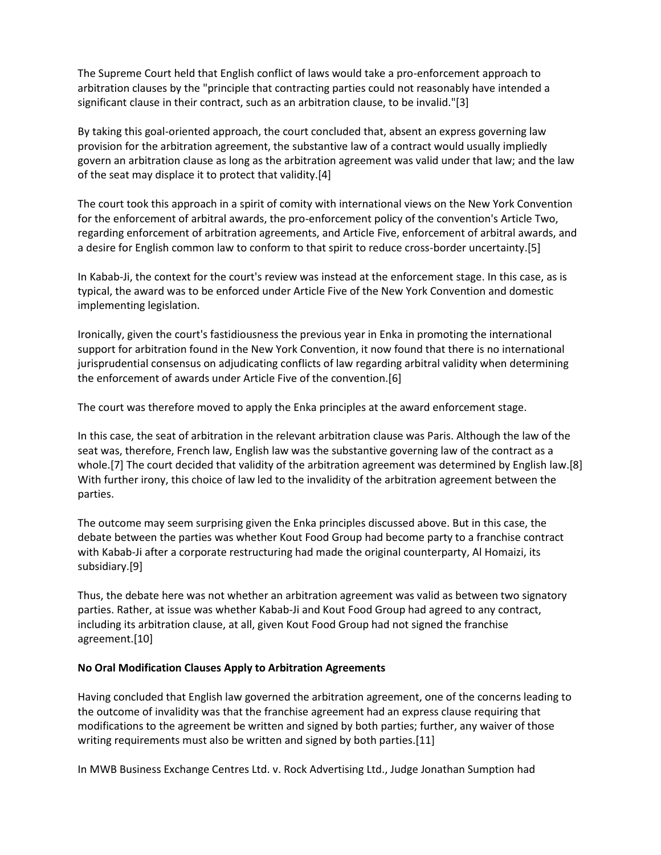The Supreme Court held that English conflict of laws would take a pro-enforcement approach to arbitration clauses by the "principle that contracting parties could not reasonably have intended a significant clause in their contract, such as an arbitration clause, to be invalid."[3]

By taking this goal-oriented approach, the court concluded that, absent an express governing law provision for the arbitration agreement, the substantive law of a contract would usually impliedly govern an arbitration clause as long as the arbitration agreement was valid under that law; and the law of the seat may displace it to protect that validity.[4]

The court took this approach in a spirit of comity with international views on the New York Convention for the enforcement of arbitral awards, the pro-enforcement policy of the convention's Article Two, regarding enforcement of arbitration agreements, and Article Five, enforcement of arbitral awards, and a desire for English common law to conform to that spirit to reduce cross-border uncertainty.[5]

In Kabab-Ji, the context for the court's review was instead at the enforcement stage. In this case, as is typical, the award was to be enforced under Article Five of the New York Convention and domestic implementing legislation.

Ironically, given the court's fastidiousness the previous year in Enka in promoting the international support for arbitration found in the New York Convention, it now found that there is no international jurisprudential consensus on adjudicating conflicts of law regarding arbitral validity when determining the enforcement of awards under Article Five of the convention.[6]

The court was therefore moved to apply the Enka principles at the award enforcement stage.

In this case, the seat of arbitration in the relevant arbitration clause was Paris. Although the law of the seat was, therefore, French law, English law was the substantive governing law of the contract as a whole.[7] The court decided that validity of the arbitration agreement was determined by English law.[8] With further irony, this choice of law led to the invalidity of the arbitration agreement between the parties.

The outcome may seem surprising given the Enka principles discussed above. But in this case, the debate between the parties was whether Kout Food Group had become party to a franchise contract with Kabab-Ji after a corporate restructuring had made the original counterparty, Al Homaizi, its subsidiary.[9]

Thus, the debate here was not whether an arbitration agreement was valid as between two signatory parties. Rather, at issue was whether Kabab-Ji and Kout Food Group had agreed to any contract, including its arbitration clause, at all, given Kout Food Group had not signed the franchise agreement.[10]

## **No Oral Modification Clauses Apply to Arbitration Agreements**

Having concluded that English law governed the arbitration agreement, one of the concerns leading to the outcome of invalidity was that the franchise agreement had an express clause requiring that modifications to the agreement be written and signed by both parties; further, any waiver of those writing requirements must also be written and signed by both parties.[11]

In MWB Business Exchange Centres Ltd. v. Rock Advertising Ltd., Judge Jonathan Sumption had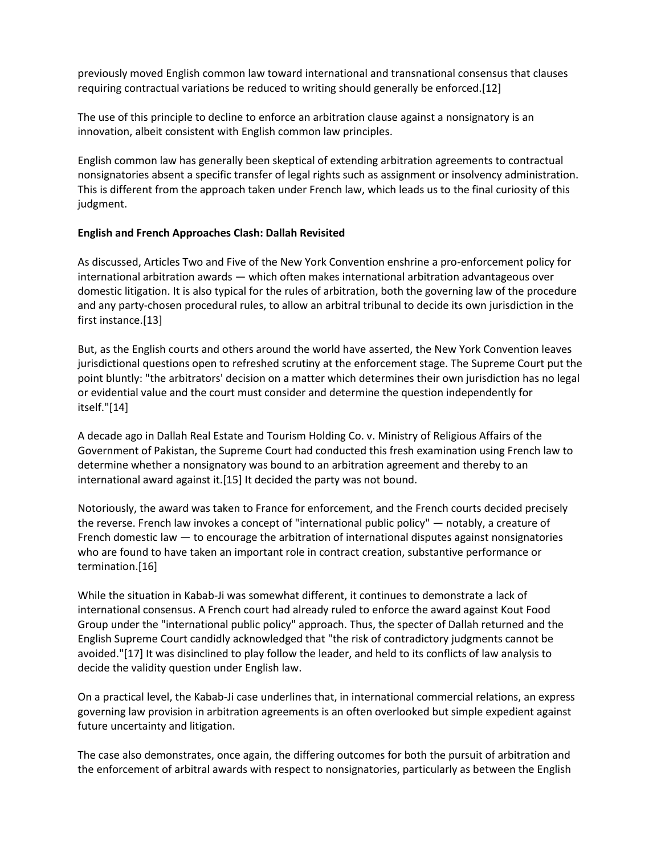previously moved English common law toward international and transnational consensus that clauses requiring contractual variations be reduced to writing should generally be enforced.[12]

The use of this principle to decline to enforce an arbitration clause against a nonsignatory is an innovation, albeit consistent with English common law principles.

English common law has generally been skeptical of extending arbitration agreements to contractual nonsignatories absent a specific transfer of legal rights such as assignment or insolvency administration. This is different from the approach taken under French law, which leads us to the final curiosity of this judgment.

## **English and French Approaches Clash: Dallah Revisited**

As discussed, Articles Two and Five of the New York Convention enshrine a pro-enforcement policy for international arbitration awards — which often makes international arbitration advantageous over domestic litigation. It is also typical for the rules of arbitration, both the governing law of the procedure and any party-chosen procedural rules, to allow an arbitral tribunal to decide its own jurisdiction in the first instance.[13]

But, as the English courts and others around the world have asserted, the New York Convention leaves jurisdictional questions open to refreshed scrutiny at the enforcement stage. The Supreme Court put the point bluntly: "the arbitrators' decision on a matter which determines their own jurisdiction has no legal or evidential value and the court must consider and determine the question independently for itself."[14]

A decade ago in Dallah Real Estate and Tourism Holding Co. v. Ministry of Religious Affairs of the Government of Pakistan, the Supreme Court had conducted this fresh examination using French law to determine whether a nonsignatory was bound to an arbitration agreement and thereby to an international award against it.[15] It decided the party was not bound.

Notoriously, the award was taken to France for enforcement, and the French courts decided precisely the reverse. French law invokes a concept of "international public policy" — notably, a creature of French domestic law  $-$  to encourage the arbitration of international disputes against nonsignatories who are found to have taken an important role in contract creation, substantive performance or termination.[16]

While the situation in Kabab-Ji was somewhat different, it continues to demonstrate a lack of international consensus. A French court had already ruled to enforce the award against Kout Food Group under the "international public policy" approach. Thus, the specter of Dallah returned and the English Supreme Court candidly acknowledged that "the risk of contradictory judgments cannot be avoided."[17] It was disinclined to play follow the leader, and held to its conflicts of law analysis to decide the validity question under English law.

On a practical level, the Kabab-Ji case underlines that, in international commercial relations, an express governing law provision in arbitration agreements is an often overlooked but simple expedient against future uncertainty and litigation.

The case also demonstrates, once again, the differing outcomes for both the pursuit of arbitration and the enforcement of arbitral awards with respect to nonsignatories, particularly as between the English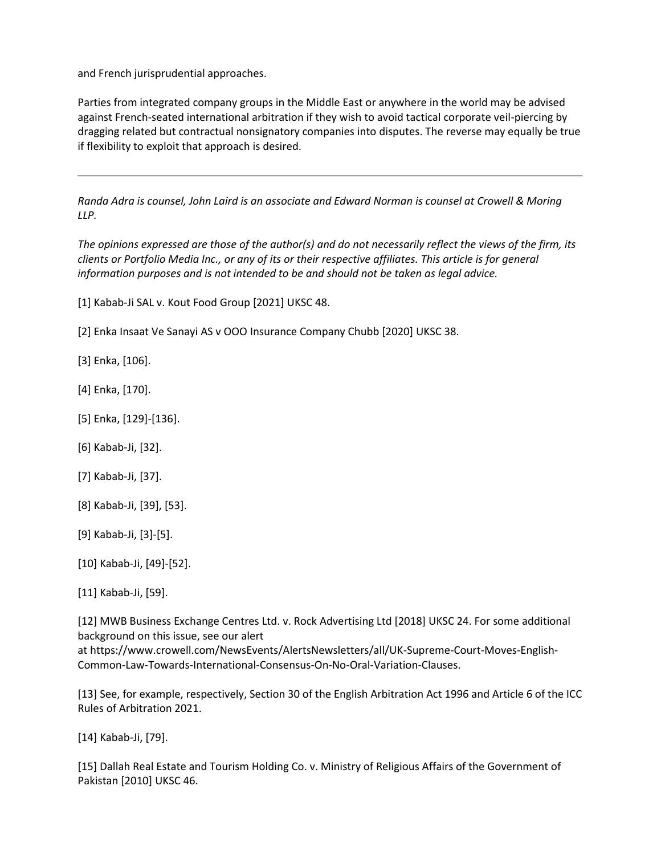and French jurisprudential approaches.

Parties from integrated company groups in the Middle East or anywhere in the world may be advised against French-seated international arbitration if they wish to avoid tactical corporate veil-piercing by dragging related but contractual nonsignatory companies into disputes. The reverse may equally be true if flexibility to exploit that approach is desired.

*Randa Adra is counsel, John Laird is an associate and Edward Norman is counsel at Crowell & Moring LLP.*

*The opinions expressed are those of the author(s) and do not necessarily reflect the views of the firm, its clients or Portfolio Media Inc., or any of its or their respective affiliates. This article is for general information purposes and is not intended to be and should not be taken as legal advice.*

[1] Kabab-Ji SAL v. Kout Food Group [2021] UKSC 48.

[2] Enka Insaat Ve Sanayi AS v OOO Insurance Company Chubb [2020] UKSC 38.

[3] Enka, [106].

- [4] Enka, [170].
- [5] Enka, [129]-[136].
- [6] Kabab-Ji, [32].
- [7] Kabab-Ji, [37].
- [8] Kabab-Ji, [39], [53].
- [9] Kabab-Ji, [3]-[5].
- [10] Kabab-Ji, [49]-[52].

[11] Kabab-Ji, [59].

[12] MWB Business Exchange Centres Ltd. v. Rock Advertising Ltd [2018] UKSC 24. For some additional background on this issue, see our alert

at https://www.crowell.com/NewsEvents/AlertsNewsletters/all/UK-Supreme-Court-Moves-English-Common-Law-Towards-International-Consensus-On-No-Oral-Variation-Clauses.

[13] See, for example, respectively, Section 30 of the English Arbitration Act 1996 and Article 6 of the ICC Rules of Arbitration 2021.

[14] Kabab-Ji, [79].

[15] Dallah Real Estate and Tourism Holding Co. v. Ministry of Religious Affairs of the Government of Pakistan [2010] UKSC 46.